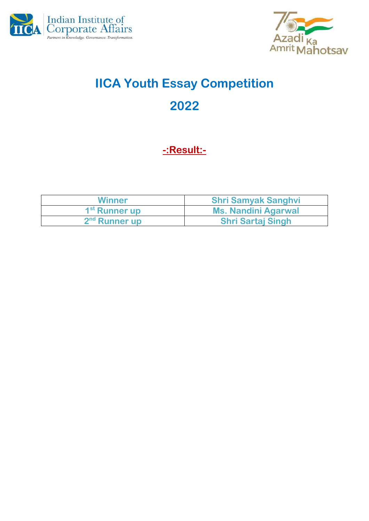



# **IICA Youth Essay Competition 2022**

### **-:Result:-**

| <b>Winner</b>             | <b>Shri Samyak Sanghvi</b> |
|---------------------------|----------------------------|
| 1 <sup>st</sup> Runner up | Ms. Nandini Agarwal        |
| 2 <sup>nd</sup> Runner up | <b>Shri Sartaj Singh</b>   |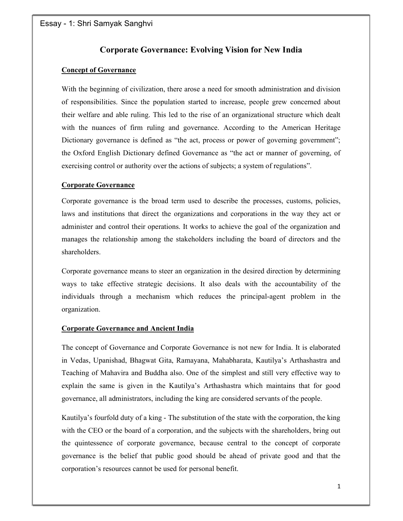### Corporate Governance: Evolving Vision for New India

#### Concept of Governance

With the beginning of civilization, there arose a need for smooth administration and division of responsibilities. Since the population started to increase, people grew concerned about their welfare and able ruling. This led to the rise of an organizational structure which dealt with the nuances of firm ruling and governance. According to the American Heritage Dictionary governance is defined as "the act, process or power of governing government"; the Oxford English Dictionary defined Governance as "the act or manner of governing, of exercising control or authority over the actions of subjects; a system of regulations".

#### Corporate Governance

Corporate governance is the broad term used to describe the processes, customs, policies, laws and institutions that direct the organizations and corporations in the way they act or administer and control their operations. It works to achieve the goal of the organization and manages the relationship among the stakeholders including the board of directors and the shareholders.

Corporate governance means to steer an organization in the desired direction by determining ways to take effective strategic decisions. It also deals with the accountability of the individuals through a mechanism which reduces the principal-agent problem in the organization.

#### Corporate Governance and Ancient India

The concept of Governance and Corporate Governance is not new for India. It is elaborated in Vedas, Upanishad, Bhagwat Gita, Ramayana, Mahabharata, Kautilya's Arthashastra and Teaching of Mahavira and Buddha also. One of the simplest and still very effective way to explain the same is given in the Kautilya's Arthashastra which maintains that for good governance, all administrators, including the king are considered servants of the people.

Kautilya's fourfold duty of a king - The substitution of the state with the corporation, the king with the CEO or the board of a corporation, and the subjects with the shareholders, bring out the quintessence of corporate governance, because central to the concept of corporate governance is the belief that public good should be ahead of private good and that the corporation's resources cannot be used for personal benefit.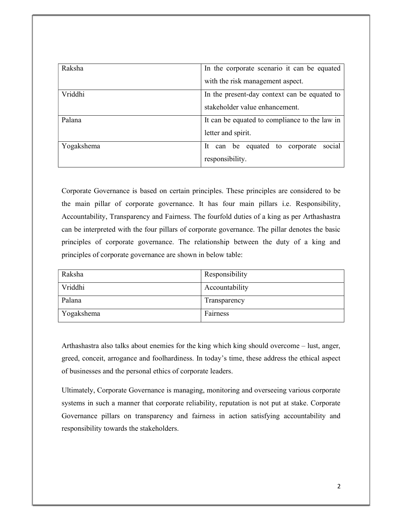| Raksha     | In the corporate scenario it can be equated   |
|------------|-----------------------------------------------|
|            | with the risk management aspect.              |
| Vriddhi    | In the present-day context can be equated to  |
|            | stakeholder value enhancement.                |
| Palana     | It can be equated to compliance to the law in |
|            | letter and spirit.                            |
| Yogakshema | social<br>can be equated to corporate<br>-lt  |
|            | responsibility.                               |

Corporate Governance is based on certain principles. These principles are considered to be the main pillar of corporate governance. It has four main pillars i.e. Responsibility, Accountability, Transparency and Fairness. The fourfold duties of a king as per Arthashastra can be interpreted with the four pillars of corporate governance. The pillar denotes the basic principles of corporate governance. The relationship between the duty of a king and principles of corporate governance are shown in below table:

| Raksha     | Responsibility |
|------------|----------------|
| Vriddhi    | Accountability |
| Palana     | Transparency   |
| Yogakshema | Fairness       |

Arthashastra also talks about enemies for the king which king should overcome – lust, anger, greed, conceit, arrogance and foolhardiness. In today's time, these address the ethical aspect of businesses and the personal ethics of corporate leaders.

Ultimately, Corporate Governance is managing, monitoring and overseeing various corporate systems in such a manner that corporate reliability, reputation is not put at stake. Corporate Governance pillars on transparency and fairness in action satisfying accountability and responsibility towards the stakeholders.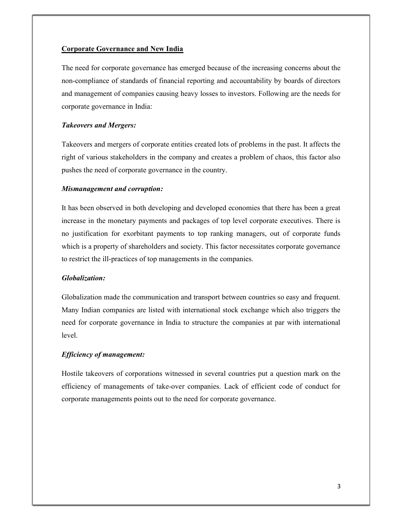#### Corporate Governance and New India

The need for corporate governance has emerged because of the increasing concerns about the non-compliance of standards of financial reporting and accountability by boards of directors and management of companies causing heavy losses to investors. Following are the needs for corporate governance in India:

#### Takeovers and Mergers:

Takeovers and mergers of corporate entities created lots of problems in the past. It affects the right of various stakeholders in the company and creates a problem of chaos, this factor also pushes the need of corporate governance in the country.

#### Mismanagement and corruption:

It has been observed in both developing and developed economies that there has been a great increase in the monetary payments and packages of top level corporate executives. There is no justification for exorbitant payments to top ranking managers, out of corporate funds which is a property of shareholders and society. This factor necessitates corporate governance to restrict the ill-practices of top managements in the companies.

#### Globalization:

Globalization made the communication and transport between countries so easy and frequent. Many Indian companies are listed with international stock exchange which also triggers the need for corporate governance in India to structure the companies at par with international level.

#### Efficiency of management:

Hostile takeovers of corporations witnessed in several countries put a question mark on the efficiency of managements of take-over companies. Lack of efficient code of conduct for corporate managements points out to the need for corporate governance.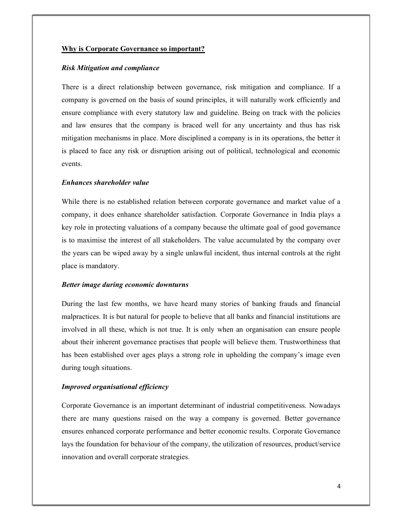#### Why is Corporate Governance so important?

#### Risk Mitigation and compliance

There is a direct relationship between governance, risk mitigation and compliance. If a company is governed on the basis of sound principles, it will naturally work efficiently and ensure compliance with every statutory law and guideline. Being on track with the policies and law ensures that the company is braced well for any uncertainty and thus has risk mitigation mechanisms in place. More disciplined a company is in its operations, the better it is placed to face any risk or disruption arising out of political, technological and economic events.

#### Enhances shareholder value

While there is no established relation between corporate governance and market value of a company, it does enhance shareholder satisfaction. Corporate Governance in India plays a key role in protecting valuations of a company because the ultimate goal of good governance is to maximise the interest of all stakeholders. The value accumulated by the company over the years can be wiped away by a single unlawful incident, thus internal controls at the right place is mandatory.

#### Better image during economic downturns

During the last few months, we have heard many stories of banking frauds and financial malpractices. It is but natural for people to believe that all banks and financial institutions are involved in all these, which is not true. It is only when an organisation can ensure people about their inherent governance practises that people will believe them. Trustworthiness that has been established over ages plays a strong role in upholding the company's image even during tough situations.

#### Improved organisational efficiency

Corporate Governance is an important determinant of industrial competitiveness. Nowadays there are many questions raised on the way a company is governed. Better governance ensures enhanced corporate performance and better economic results. Corporate Governance lays the foundation for behaviour of the company, the utilization of resources, product/service innovation and overall corporate strategies.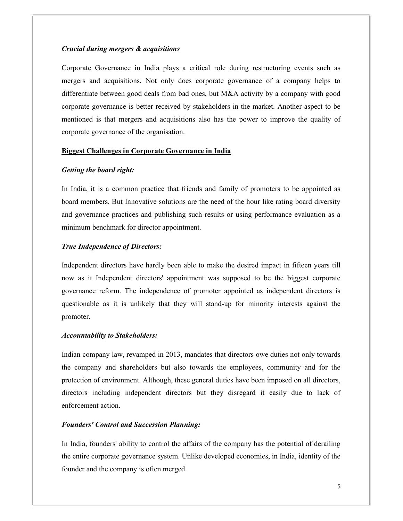#### Crucial during mergers & acquisitions

Corporate Governance in India plays a critical role during restructuring events such as mergers and acquisitions. Not only does corporate governance of a company helps to differentiate between good deals from bad ones, but M&A activity by a company with good corporate governance is better received by stakeholders in the market. Another aspect to be mentioned is that mergers and acquisitions also has the power to improve the quality of corporate governance of the organisation.

#### Biggest Challenges in Corporate Governance in India

#### Getting the board right:

In India, it is a common practice that friends and family of promoters to be appointed as board members. But Innovative solutions are the need of the hour like rating board diversity and governance practices and publishing such results or using performance evaluation as a minimum benchmark for director appointment.

#### True Independence of Directors:

Independent directors have hardly been able to make the desired impact in fifteen years till now as it Independent directors' appointment was supposed to be the biggest corporate governance reform. The independence of promoter appointed as independent directors is questionable as it is unlikely that they will stand-up for minority interests against the promoter.

#### Accountability to Stakeholders:

Indian company law, revamped in 2013, mandates that directors owe duties not only towards the company and shareholders but also towards the employees, community and for the protection of environment. Although, these general duties have been imposed on all directors, directors including independent directors but they disregard it easily due to lack of enforcement action.

#### Founders' Control and Succession Planning:

In India, founders' ability to control the affairs of the company has the potential of derailing the entire corporate governance system. Unlike developed economies, in India, identity of the founder and the company is often merged.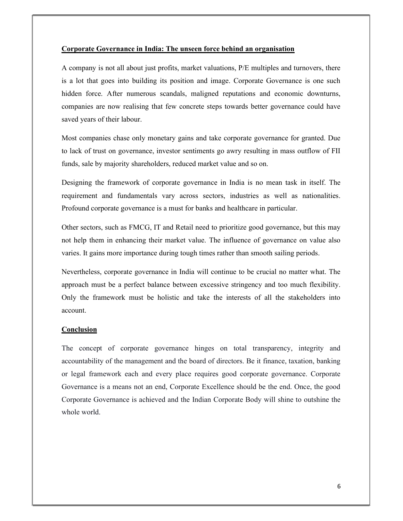#### Corporate Governance in India: The unseen force behind an organisation

A company is not all about just profits, market valuations, P/E multiples and turnovers, there is a lot that goes into building its position and image. Corporate Governance is one such hidden force. After numerous scandals, maligned reputations and economic downturns, companies are now realising that few concrete steps towards better governance could have saved years of their labour.

Most companies chase only monetary gains and take corporate governance for granted. Due to lack of trust on governance, investor sentiments go awry resulting in mass outflow of FII funds, sale by majority shareholders, reduced market value and so on.

Designing the framework of corporate governance in India is no mean task in itself. The requirement and fundamentals vary across sectors, industries as well as nationalities. Profound corporate governance is a must for banks and healthcare in particular.

Other sectors, such as FMCG, IT and Retail need to prioritize good governance, but this may not help them in enhancing their market value. The influence of governance on value also varies. It gains more importance during tough times rather than smooth sailing periods.

Nevertheless, corporate governance in India will continue to be crucial no matter what. The approach must be a perfect balance between excessive stringency and too much flexibility. Only the framework must be holistic and take the interests of all the stakeholders into account.

#### **Conclusion**

The concept of corporate governance hinges on total transparency, integrity and accountability of the management and the board of directors. Be it finance, taxation, banking or legal framework each and every place requires good corporate governance. Corporate Governance is a means not an end, Corporate Excellence should be the end. Once, the good Corporate Governance is achieved and the Indian Corporate Body will shine to outshine the whole world.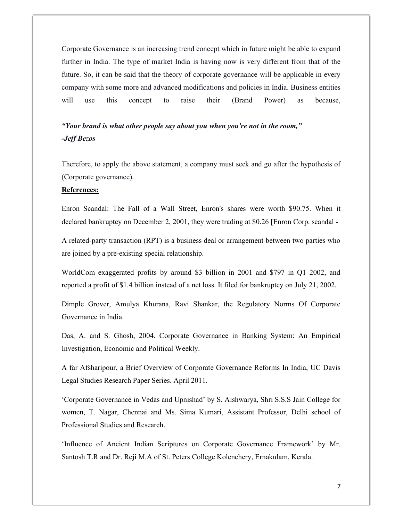Corporate Governance is an increasing trend concept which in future might be able to expand further in India. The type of market India is having now is very different from that of the future. So, it can be said that the theory of corporate governance will be applicable in every company with some more and advanced modifications and policies in India. Business entities will use this concept to raise their (Brand Power) as because,

### "Your brand is what other people say about you when you're not in the room," -Jeff Bezos

Therefore, to apply the above statement, a company must seek and go after the hypothesis of (Corporate governance).

#### References:

Enron Scandal: The Fall of a Wall Street, Enron's shares were worth \$90.75. When it declared bankruptcy on December 2, 2001, they were trading at \$0.26 [Enron Corp. scandal -

A related-party transaction (RPT) is a business deal or arrangement between two parties who are joined by a pre-existing special relationship.

WorldCom exaggerated profits by around \$3 billion in 2001 and \$797 in Q1 2002, and reported a profit of \$1.4 billion instead of a net loss. It filed for bankruptcy on July 21, 2002.

Dimple Grover, Amulya Khurana, Ravi Shankar, the Regulatory Norms Of Corporate Governance in India.

Das, A. and S. Ghosh, 2004. Corporate Governance in Banking System: An Empirical Investigation, Economic and Political Weekly.

A far Afsharipour, a Brief Overview of Corporate Governance Reforms In India, UC Davis Legal Studies Research Paper Series. April 2011.

'Corporate Governance in Vedas and Upnishad' by S. Aishwarya, Shri S.S.S Jain College for women, T. Nagar, Chennai and Ms. Sima Kumari, Assistant Professor, Delhi school of Professional Studies and Research.

'Influence of Ancient Indian Scriptures on Corporate Governance Framework' by Mr. Santosh T.R and Dr. Reji M.A of St. Peters College Kolenchery, Ernakulam, Kerala.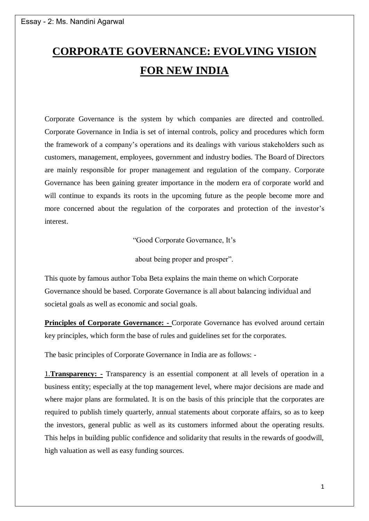## **CORPORATE GOVERNANCE: EVOLVING VISION FOR NEW INDIA**

Corporate Governance is the system by which companies are directed and controlled. Corporate Governance in India is set of internal controls, policy and procedures which form the framework of a company's operations and its dealings with various stakeholders such as customers, management, employees, government and industry bodies. The Board of Directors are mainly responsible for proper management and regulation of the company. Corporate Governance has been gaining greater importance in the modern era of corporate world and will continue to expands its roots in the upcoming future as the people become more and more concerned about the regulation of the corporates and protection of the investor's interest.

"Good Corporate Governance, It's

about being proper and prosper".

This quote by famous author Toba Beta explains the main theme on which Corporate Governance should be based. Corporate Governance is all about balancing individual and societal goals as well as economic and social goals.

**Principles of Corporate Governance: -** Corporate Governance has evolved around certain key principles, which form the base of rules and guidelines set for the corporates.

The basic principles of Corporate Governance in India are as follows: -

1.**Transparency: -** Transparency is an essential component at all levels of operation in a business entity; especially at the top management level, where major decisions are made and where major plans are formulated. It is on the basis of this principle that the corporates are required to publish timely quarterly, annual statements about corporate affairs, so as to keep the investors, general public as well as its customers informed about the operating results. This helps in building public confidence and solidarity that results in the rewards of goodwill, high valuation as well as easy funding sources.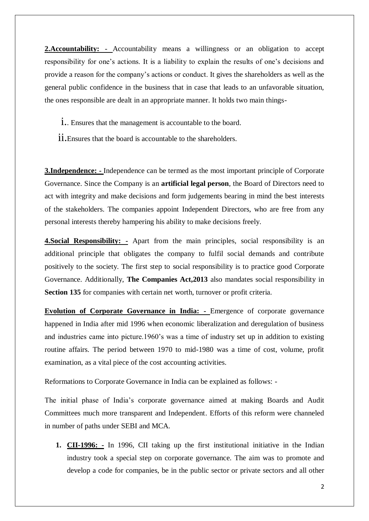**2.Accountability:** - Accountability means a willingness or an obligation to accept responsibility for one's actions. It is a liability to explain the results of one's decisions and provide a reason for the company's actions or conduct. It gives the shareholders as well as the general public confidence in the business that in case that leads to an unfavorable situation, the ones responsible are dealt in an appropriate manner. It holds two main things-

- 1. Ensures that the management is accountable to the board.
- ii.Ensures that the board is accountable to the shareholders.

**3.Independence: -** Independence can be termed as the most important principle of Corporate Governance. Since the Company is an **artificial legal person**, the Board of Directors need to act with integrity and make decisions and form judgements bearing in mind the best interests of the stakeholders. The companies appoint Independent Directors, who are free from any personal interests thereby hampering his ability to make decisions freely.

**4.Social Responsibility: -** Apart from the main principles, social responsibility is an additional principle that obligates the company to fulfil social demands and contribute positively to the society. The first step to social responsibility is to practice good Corporate Governance. Additionally, **The Companies Act,2013** also mandates social responsibility in **Section 135** for companies with certain net worth, turnover or profit criteria.

**Evolution of Corporate Governance in India: -** Emergence of corporate governance happened in India after mid 1996 when economic liberalization and deregulation of business and industries came into picture.1960's was a time of industry set up in addition to existing routine affairs. The period between 1970 to mid-1980 was a time of cost, volume, profit examination, as a vital piece of the cost accounting activities.

Reformations to Corporate Governance in India can be explained as follows: -

The initial phase of India's corporate governance aimed at making Boards and Audit Committees much more transparent and Independent. Efforts of this reform were channeled in number of paths under SEBI and MCA.

**1. CII-1996: -** In 1996, CII taking up the first institutional initiative in the Indian industry took a special step on corporate governance. The aim was to promote and develop a code for companies, be in the public sector or private sectors and all other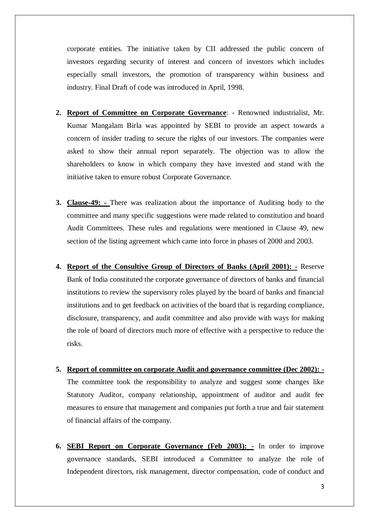corporate entities. The initiative taken by CII addressed the public concern of investors regarding security of interest and concern of investors which includes especially small investors, the promotion of transparency within business and industry. Final Draft of code was introduced in April, 1998.

- **2. Report of Committee on Corporate Governance**: Renowned industrialist, Mr. Kumar Mangalam Birla was appointed by SEBI to provide an aspect towards a concern of insider trading to secure the rights of our investors. The companies were asked to show their annual report separately. The objection was to allow the shareholders to know in which company they have invested and stand with the initiative taken to ensure robust Corporate Governance.
- **3. Clause-49: -** There was realization about the importance of Auditing body to the committee and many specific suggestions were made related to constitution and board Audit Committees. These rules and regulations were mentioned in Clause 49, new section of the listing agreement which came into force in phases of 2000 and 2003.
- **4. Report of the Consultive Group of Directors of Banks (April 2001): -** Reserve Bank of India constituted the corporate governance of directors of banks and financial institutions to review the supervisory roles played by the board of banks and financial institutions and to get feedback on activities of the board that is regarding compliance, disclosure, transparency, and audit committee and also provide with ways for making the role of board of directors much more of effective with a perspective to reduce the risks.
- **5. Report of committee on corporate Audit and governance committee (Dec 2002): -** The committee took the responsibility to analyze and suggest some changes like Statutory Auditor, company relationship, appointment of auditor and audit fee measures to ensure that management and companies put forth a true and fair statement of financial affairs of the company.
- **6. SEBI Report on Corporate Governance (Feb 2003): -** In order to improve governance standards, SEBI introduced a Committee to analyze the role of Independent directors, risk management, director compensation, code of conduct and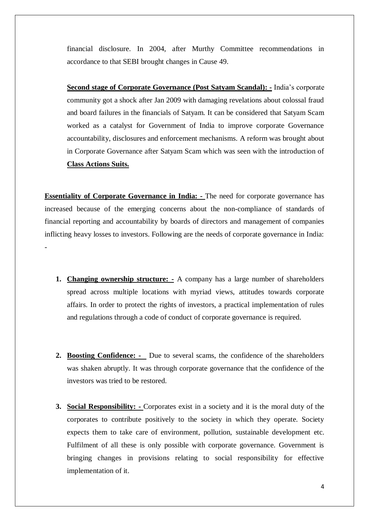financial disclosure. In 2004, after Murthy Committee recommendations in accordance to that SEBI brought changes in Cause 49.

**Second stage of Corporate Governance (Post Satyam Scandal): -** India's corporate community got a shock after Jan 2009 with damaging revelations about colossal fraud and board failures in the financials of Satyam. It can be considered that Satyam Scam worked as a catalyst for Government of India to improve corporate Governance accountability, disclosures and enforcement mechanisms. A reform was brought about in Corporate Governance after Satyam Scam which was seen with the introduction of **Class Actions Suits.**

**Essentiality of Corporate Governance in India:** - The need for corporate governance has increased because of the emerging concerns about the non-compliance of standards of financial reporting and accountability by boards of directors and management of companies inflicting heavy losses to investors. Following are the needs of corporate governance in India: -

- **1. Changing ownership structure: -** A company has a large number of shareholders spread across multiple locations with myriad views, attitudes towards corporate affairs. In order to protect the rights of investors, a practical implementation of rules and regulations through a code of conduct of corporate governance is required.
- **2. Boosting Confidence:** Due to several scams, the confidence of the shareholders was shaken abruptly. It was through corporate governance that the confidence of the investors was tried to be restored.
- **3. Social Responsibility: -** Corporates exist in a society and it is the moral duty of the corporates to contribute positively to the society in which they operate. Society expects them to take care of environment, pollution, sustainable development etc. Fulfilment of all these is only possible with corporate governance. Government is bringing changes in provisions relating to social responsibility for effective implementation of it.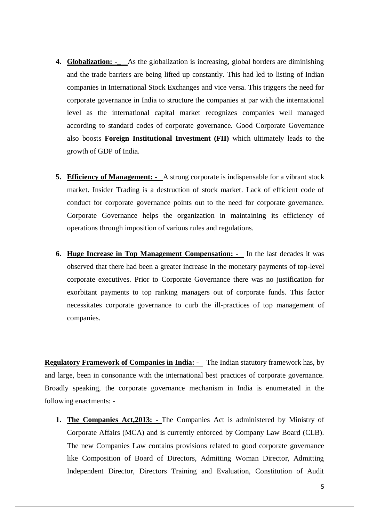- **4. Globalization: -\_** As the globalization is increasing, global borders are diminishing and the trade barriers are being lifted up constantly. This had led to listing of Indian companies in International Stock Exchanges and vice versa. This triggers the need for corporate governance in India to structure the companies at par with the international level as the international capital market recognizes companies well managed according to standard codes of corporate governance. Good Corporate Governance also boosts **Foreign Institutional Investment (FII)** which ultimately leads to the growth of GDP of India.
- **5. Efficiency of Management:** A strong corporate is indispensable for a vibrant stock market. Insider Trading is a destruction of stock market. Lack of efficient code of conduct for corporate governance points out to the need for corporate governance. Corporate Governance helps the organization in maintaining its efficiency of operations through imposition of various rules and regulations.
- **6. Huge Increase in Top Management Compensation:** In the last decades it was observed that there had been a greater increase in the monetary payments of top-level corporate executives. Prior to Corporate Governance there was no justification for exorbitant payments to top ranking managers out of corporate funds. This factor necessitates corporate governance to curb the ill-practices of top management of companies.

**Regulatory Framework of Companies in India: -** The Indian statutory framework has, by and large, been in consonance with the international best practices of corporate governance. Broadly speaking, the corporate governance mechanism in India is enumerated in the following enactments: -

**1. The Companies Act,2013: -** The Companies Act is administered by Ministry of Corporate Affairs (MCA) and is currently enforced by Company Law Board (CLB). The new Companies Law contains provisions related to good corporate governance like Composition of Board of Directors, Admitting Woman Director, Admitting Independent Director, Directors Training and Evaluation, Constitution of Audit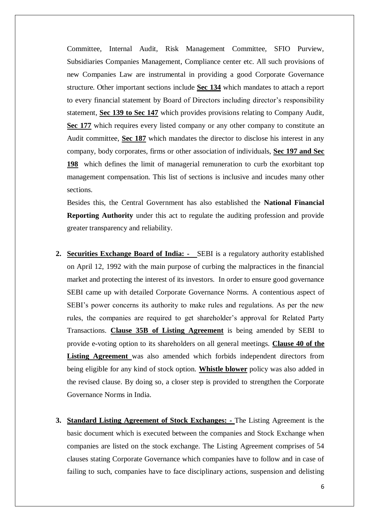Committee, Internal Audit, Risk Management Committee, SFIO Purview, Subsidiaries Companies Management, Compliance center etc. All such provisions of new Companies Law are instrumental in providing a good Corporate Governance structure. Other important sections include **Sec 134** which mandates to attach a report to every financial statement by Board of Directors including director's responsibility statement, **Sec 139 to Sec 147** which provides provisions relating to Company Audit, **Sec 177** which requires every listed company or any other company to constitute an Audit committee, **Sec 187** which mandates the director to disclose his interest in any company, body corporates, firms or other association of individuals, **Sec 197 and Sec 198** which defines the limit of managerial remuneration to curb the exorbitant top management compensation. This list of sections is inclusive and incudes many other sections.

Besides this, the Central Government has also established the **National Financial Reporting Authority** under this act to regulate the auditing profession and provide greater transparency and reliability.

- **2. Securities Exchange Board of India: -** SEBI is a regulatory authority established on April 12, 1992 with the main purpose of curbing the malpractices in the financial market and protecting the interest of its investors. In order to ensure good governance SEBI came up with detailed Corporate Governance Norms. A contentious aspect of SEBI's power concerns its authority to make rules and regulations. As per the new rules, the companies are required to get shareholder's approval for Related Party Transactions. **Clause 35B of Listing Agreement** is being amended by SEBI to provide e-voting option to its shareholders on all general meetings. **Clause 40 of the Listing Agreement** was also amended which forbids independent directors from being eligible for any kind of stock option. **Whistle blower** policy was also added in the revised clause. By doing so, a closer step is provided to strengthen the Corporate Governance Norms in India.
- **3. Standard Listing Agreement of Stock Exchanges: -** The Listing Agreement is the basic document which is executed between the companies and Stock Exchange when companies are listed on the stock exchange. The Listing Agreement comprises of 54 clauses stating Corporate Governance which companies have to follow and in case of failing to such, companies have to face disciplinary actions, suspension and delisting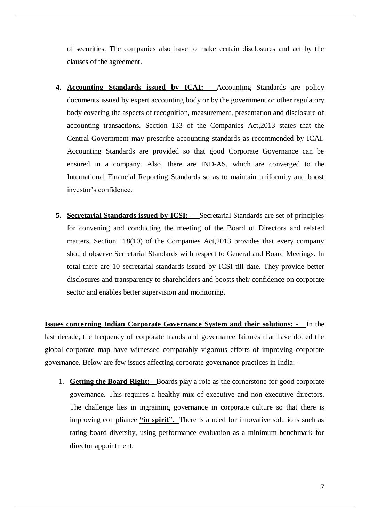of securities. The companies also have to make certain disclosures and act by the clauses of the agreement.

- **4. Accounting Standards issued by ICAI: -** Accounting Standards are policy documents issued by expert accounting body or by the government or other regulatory body covering the aspects of recognition, measurement, presentation and disclosure of accounting transactions. Section 133 of the Companies Act,2013 states that the Central Government may prescribe accounting standards as recommended by ICAI. Accounting Standards are provided so that good Corporate Governance can be ensured in a company. Also, there are IND-AS, which are converged to the International Financial Reporting Standards so as to maintain uniformity and boost investor's confidence.
- **5. Secretarial Standards issued by ICSI:** Secretarial Standards are set of principles for convening and conducting the meeting of the Board of Directors and related matters. Section 118(10) of the Companies Act,2013 provides that every company should observe Secretarial Standards with respect to General and Board Meetings. In total there are 10 secretarial standards issued by ICSI till date. They provide better disclosures and transparency to shareholders and boosts their confidence on corporate sector and enables better supervision and monitoring.

**Issues concerning Indian Corporate Governance System and their solutions: -** In the last decade, the frequency of corporate frauds and governance failures that have dotted the global corporate map have witnessed comparably vigorous efforts of improving corporate governance. Below are few issues affecting corporate governance practices in India: -

1. **Getting the Board Right: -** Boards play a role as the cornerstone for good corporate governance. This requires a healthy mix of executive and non-executive directors. The challenge lies in ingraining governance in corporate culture so that there is improving compliance **"in spirit".** There is a need for innovative solutions such as rating board diversity, using performance evaluation as a minimum benchmark for director appointment.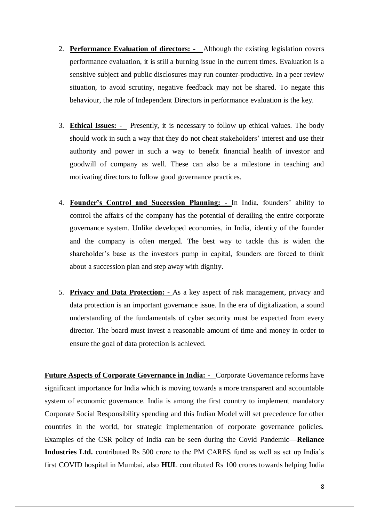- 2. **Performance Evaluation of directors:** Although the existing legislation covers performance evaluation, it is still a burning issue in the current times. Evaluation is a sensitive subject and public disclosures may run counter-productive. In a peer review situation, to avoid scrutiny, negative feedback may not be shared. To negate this behaviour, the role of Independent Directors in performance evaluation is the key.
- 3. **Ethical Issues:** Presently, it is necessary to follow up ethical values. The body should work in such a way that they do not cheat stakeholders' interest and use their authority and power in such a way to benefit financial health of investor and goodwill of company as well. These can also be a milestone in teaching and motivating directors to follow good governance practices.
- 4. **Founder's Control and Succession Planning: -** In India, founders' ability to control the affairs of the company has the potential of derailing the entire corporate governance system. Unlike developed economies, in India, identity of the founder and the company is often merged. The best way to tackle this is widen the shareholder's base as the investors pump in capital, founders are forced to think about a succession plan and step away with dignity.
- 5. **Privacy and Data Protection: -** As a key aspect of risk management, privacy and data protection is an important governance issue. In the era of digitalization, a sound understanding of the fundamentals of cyber security must be expected from every director. The board must invest a reasonable amount of time and money in order to ensure the goal of data protection is achieved.

**Future Aspects of Corporate Governance in India: -** Corporate Governance reforms have significant importance for India which is moving towards a more transparent and accountable system of economic governance. India is among the first country to implement mandatory Corporate Social Responsibility spending and this Indian Model will set precedence for other countries in the world, for strategic implementation of corporate governance policies. Examples of the CSR policy of India can be seen during the Covid Pandemic—**Reliance Industries Ltd.** contributed Rs 500 crore to the PM CARES fund as well as set up India's first COVID hospital in Mumbai, also **HUL** contributed Rs 100 crores towards helping India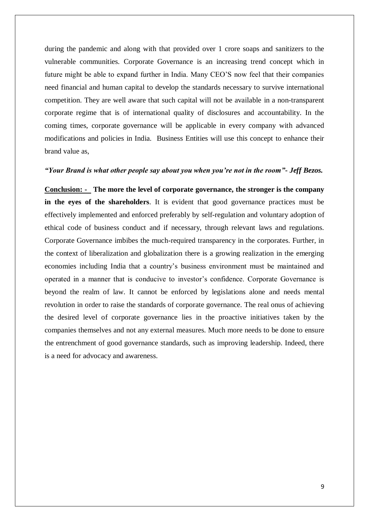during the pandemic and along with that provided over 1 crore soaps and sanitizers to the vulnerable communities. Corporate Governance is an increasing trend concept which in future might be able to expand further in India. Many CEO'S now feel that their companies need financial and human capital to develop the standards necessary to survive international competition. They are well aware that such capital will not be available in a non-transparent corporate regime that is of international quality of disclosures and accountability. In the coming times, corporate governance will be applicable in every company with advanced modifications and policies in India. Business Entities will use this concept to enhance their brand value as,

#### *"Your Brand is what other people say about you when you're not in the room"- Jeff Bezos.*

**Conclusion: - The more the level of corporate governance, the stronger is the company in the eyes of the shareholders**. It is evident that good governance practices must be effectively implemented and enforced preferably by self-regulation and voluntary adoption of ethical code of business conduct and if necessary, through relevant laws and regulations. Corporate Governance imbibes the much-required transparency in the corporates. Further, in the context of liberalization and globalization there is a growing realization in the emerging economies including India that a country's business environment must be maintained and operated in a manner that is conducive to investor's confidence. Corporate Governance is beyond the realm of law. It cannot be enforced by legislations alone and needs mental revolution in order to raise the standards of corporate governance. The real onus of achieving the desired level of corporate governance lies in the proactive initiatives taken by the companies themselves and not any external measures. Much more needs to be done to ensure the entrenchment of good governance standards, such as improving leadership. Indeed, there is a need for advocacy and awareness.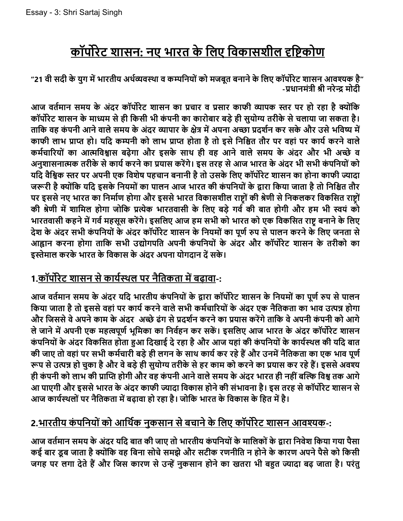# <u>कॉर्पोरेट शासन: नए भारत के लिए विका</u>सशील दृष्टिकोण

"21 वी सदी के युग में भारतीय अर्थव्यवस्था व कम्पनियों को मजबूत बनाने के लिए कॉर्पोरेट शासन आवश्यक है" -पधानमंत्री श्री नरेन्द्र मोदी

आज वर्तमान समय के अंदर कॉर्पोरेट शासन का प्रचार व प्रसार काफी व्यापक स्तर पर हो रहा है क्योंकि कॉर्पोरेट शासन के माध्यम से ही किसी भी कंपनी का कारोबार बड़े ही सुयोग्य तरीके से चलाया जा सकता है। ताकि वह कंपनी आने वाले समय के अंदर व्यापार के क्षेत्र में अपना अच्छा प्रदर्शन कर सके और उसे भविष्य में काफी लाभ प्राप्त हो। यदि कम्पनी को लाभ प्राप्त होता है तो इसे निश्चित तौर पर वहां पर कार्य करने वाले कर्मचारियों का आत्मविश्वास बढ़ेगा और इसके साथ ही वह आने वाले समय के अंदर और भी अच्छे व अनुशासनात्मक तरीके से कार्य करने का प्रयास करेंगे। इस तरह से आज भारत के अंदर भी सभी कंपनियों को यदि वैश्विक स्तर पर अपनी एक विशेष पहचान बनानी है तो उसके लिए कॉर्पोरेट शासन का होना काफी ज्यादा जरूरी है क्योंकि यदि इसके नियमों का पालन आज भारत की कंपनियों के द्वारा किया जाता है तो निश्चित तौर पर इससे नए भारत का निर्माण होगा और इससे भारत विकासशील राष्ट्रों की श्रेणी से निकलकर विकसित राष्ट्रों की श्रेणी में शामिल होगा जोकि प्रत्येक भारतवासी के लिए बड़े गर्व की बात होगी और हम भी स्वयं को भारतवासी कहने में गर्व महसूस करेंगे। इसलिए आज हम सभी को भारत को एक विकसित राष्ट्र बनाने के लिए देश के अंदर सभी कंपनियों के अंदर कॉर्पोरेट शासन के नियमों का पूर्ण रुप से पालन करने के लिए जनता से आह्वान करना होगा ताकि सभी उद्योगपति अपनी कंपनियों के अंदर और कॉर्पोरेट शासन के तरीको का इस्तेमाल करके भारत के विकास के अंदर अपना योगदान दें सके।

### 1.कॉर्पोरेट शासन से कार्यस्थल पर नैतिकता में बढ़ावा-:

आज वर्तमान समय के अंदर यदि भारतीय कंपनियों के द्वारा कॉर्पोरेट शासन के नियमों का पूर्ण रुप से पालन किया जाता है तो इससे वहां पर कार्य करने वाले सभी कर्मचारियों के अंदर एक नैतिकता का भाव उत्पन्न होगा और जिससे वे अपने काम के अंदर अच्छे ढंग से प्रदर्शन करने का प्रयास करेंगे ताकि वे अपनी कंपनी को आगे ले जाने में अपनी एक महत्वपूर्ण भूमिका का निर्वहन कर सकें। इसलिए आज भारत के अंदर कॉर्पोरेट शासन कंपनियों के अंदर विकसित होता हुआ दिखाई दे रहा है और आज यहां की कंपनियों के कार्यस्थल की यदि बात की जाए तो वहां पर सभी कर्मचारी बड़े ही लगन के साथ कार्य कर रहे हैं और उनमें नैतिकता का एक भाव पूर्ण रूप से उत्पन्न हो चुका है और वे बड़े ही सुयोग्य तरीके से हर काम को करने का प्रयास कर रहे हैं। इससे अवश्य ही कंपनी को लाभ की प्राप्ति होगी और वह कंपनी आने वाले समय के अंदर भारत ही नहीं बल्कि विश्व तक आगे आ पाएगी और इससे भारत के अंदर काफी ज्यादा विकास होने की संभावना है। इस तरह से कॉर्पोरेट शासन से आज कार्यस्थलों पर नैतिकता में बढ़ावा हो रहा है। जोकि भारत के विकास के हित में है।

### <u>2.भारतीय कंपनियों को आर्थिक नुकसान से बचाने के लिए कॉर्पोरेट शासन आवश्यक-:</u>

आज वर्तमान समय के अंदर यदि बात की जाए तो भारतीय कंपनियों के मालिकों के द्वारा निवेश किया गया पैसा कई बार डूब जाता है क्योंकि वह बिना सोचे समझे और सटीक रणनीति न होने के कारण अपने पैसे को किसी जगह पर लगा देते हैं और जिस कारण से उन्हें नकसान होने का खतरा भी बहुत ज्यादा बढ़ जाता है। परंत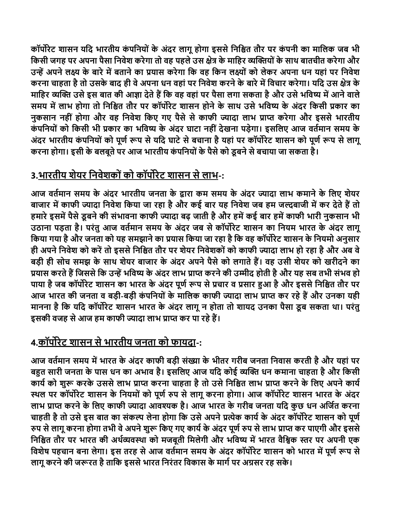कॉर्पोरेट शासन यदि भारतीय कंपनियों के अंदर लागू होगा इससे निश्चित तौर पर कंपनी का मालिक जब भी किसी जगह पर अपना पैसा निवेश करेगा तो वह पहले उस क्षेत्र के माहिर व्यक्तियों के साथ बातचीत करेगा और उन्हें अपने लक्ष्य के बारे में बताने का प्रयास करेगा कि वह किन लक्ष्यों को लेकर अपना धन यहां पर निवेश करना चाहता है तो उसके बाद ही वे अपना धन वहां पर निवेश करने के बारे में विचार करेगा। यदि उस क्षेत्र के माहिर व्यक्ति उसे इस बात की आज्ञा देते हैं कि वह वहां पर पैसा लगा सकता है और उसे भविष्य में आने वाले समय में लाभ होगा तो निश्चित तौर पर कॉर्पोरेट शासन होने के साथ उसे भविष्य के अंदर किसी प्रकार का नकसान नहीं होगा और वह निवेश किए गए पैसे से काफी ज्यादा लाभ प्राप्त करेगा और इससे भारतीय कंपनियों को किसी भी प्रकार का भविष्य के अंदर घाटा नहीं देखना पड़ेगा। इसलिए आज वर्तमान समय के अंदर भारतीय कंपनियों को पूर्ण रूप से यदि घाटे से बचाना है यहां पर कॉर्पोरेट शासन को पूर्ण रूप से लागू करना होगा। इसी के बलबूते पर आज भारतीय कंपनियों के पैसे को डूबने से बचाया जा सकता है।

### 3.भारतीय शेयर निवेशकों को कॉर्पोरेट शासन से लाभ-:

आज वर्तमान समय के अंदर भारतीय जनता के द्वारा कम समय के अंदर ज्यादा लाभ कमाने के लिए शेयर बाजार में काफी ज्यादा निवेश किया जा रहा है और कई बार यह निवेश जब हम जल्दबाजी में कर देते हैं तो हमारे इसमें पैसे डूबने की संभावना काफी ज्यादा बढ़ जाती है और हमें कई बार हमें काफी भारी नुकसान भी उठाना पड़ता है। परंतु आज वर्तमान समय के अंदर जब से कॉर्पोरेट शासन का नियम भारत के अंदर लागू किया गया है और जनता को यह समझाने का प्रयास किया जा रहा है कि वह कॉर्पोरेट शासन के नियमो अनुसार ही अपने निवेश को करें तो इससे निश्चित तौर पर शेयर निवेशकों को काफी ज्यादा लाभ हो रहा है और अब वे बड़ी ही सोच समझ के साथ शेयर बाजार के अंदर अपने पैसे को लगाते हैं। वह उसी शेयर को खरीदने का प्रयास करते हैं जिससे कि उन्हें भविष्य के अंदर लाभ प्राप्त करने की उम्मीद होती है और यह सब तभी संभव हो पाया है जब कॉर्पोरेट शासन का भारत के अंदर पूर्ण रूप से प्रचार व प्रसार हुआ है और इससे निश्चित तौर पर आज भारत की जनता व बड़ी-बड़ी कंपनियों के मालिक काफी ज्यादा लाभ प्राप्त कर रहे हैं और उनका यही मानना है कि यदि कॉर्पोरेट शासन भारत के अंदर लागू न होता तो शायद उनका पैसा डूब सकता था। परंतु इसकी वजह से आज हम काफी ज्यादा लाभ प्राप्त कर पा रहे हैं।

### 4.कॉर्पोरेट शासन से भारतीय जनता को फायदा-:

आज वर्तमान समय में भारत के अंदर काफी बड़ी संख्या के भीतर गरीब जनता निवास करती है और यहां पर बहुत सारी जनता के पास धन का अभाव है। इसलिए आज यदि कोई व्यक्ति धन कमाना चाहता है और किसी कार्य को शुरू करके उससे लाभ प्राप्त करना चाहता है तो उसे निश्चित लाभ प्राप्त करने के लिए अपने कार्य स्थल पर कॉर्पोरेट शासन के नियमों को पूर्ण रुप से लागू करना होगा। आज कॉर्पोरेट शासन भारत के अंदर लाभ प्राप्त करने के लिए काफी ज्यादा आवश्यक है। आज भारत के गरीब जनता यदि कुछ धन अर्जित करना चाहती है तो उसे इस बात का संकल्प लेना होगा कि उसे अपने प्रत्येक कार्य के अंदर कॉर्पोरेट शासन को पूर्ण रुप से लागू करना होगा तभी वे अपने शुरू किए गए कार्य के अंदर पूर्ण रुप से लाभ प्राप्त कर पाएगी और इससे निश्चित तौर पर भारत की अर्थव्यवस्था को मजबूती मिलेगी और भविष्य में भारत वैश्विक स्तर पर अपनी एक विशेष पहचान बना लेगा। इस तरह से आज वर्तमान समय के अंदर कॉर्पोरेट शासन को भारत में पूर्ण रूप से लागू करने की जरूरत है ताकि इससे भारत निरंतर विकास के मार्ग पर अग्रसर रह सके।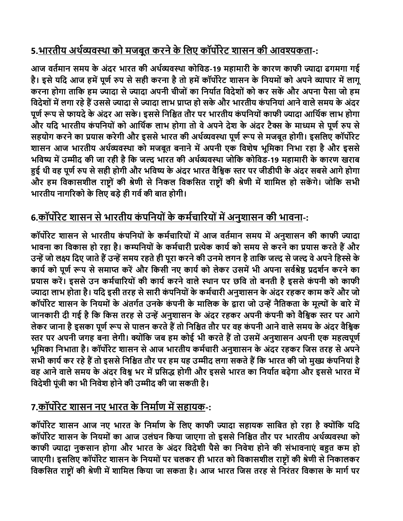### <u>5.भारतीय अर्थव्यवस्था को मजबूत करने के लिए कॉर्पोरेट शासन की आवश्यकता</u>-:

आज वर्तमान समय के अंदर भारत की अर्थव्यवस्था कोविड-19 महामारी के कारण काफी ज्यादा ढगमगा गई है। इसे यदि आज हमें पूर्ण रुप से सही करना है तो हमें कॉर्पोरेट शासन के नियमों को अपने व्यापार में लागू करना होगा ताकि हम ज्यादा से ज्यादा अपनी चीजों का निर्यात विदेशों को कर सकें और अपना पैसा जो हम विदेशों में लगा रहे हैं उससे ज्यादा से ज्यादा लाभ प्राप्त हो सके और भारतीय कंपनियां आने वाले समय के अंदर पूर्ण रूप से फायदे के अंदर आ सके। इससे निश्चित तौर पर भारतीय कंपनियों काफी ज्यादा आर्थिक लाभ होगा और यदि भारतीय कंपनियों को आर्थिक लाभ होगा तो वे अपने देश के अंदर टैक्स के माध्यम से पूर्ण रुप से सहयोग करने का प्रयास करेगी और इससे भारत की अर्थव्यवस्था पूर्ण रूप से मजबूत होगी। इसलिए कॉर्पोरेट शासन आज भारतीय अर्थव्यवस्था को मजबूत बनाने में अपनी एक विशेष भूमिका निभा रहा है और इससे भविष्य में उम्मीद की जा रही है कि जल्द भारत की अर्थव्यवस्था जोकि कोविड-19 महामारी के कारण खराब हुई थी वह पूर्ण रुप से सही होगी और भविष्य के अंदर भारत वैश्विक स्तर पर जीडीपी के अंदर सबसे आगे होगा और हम विकासशील राष्ट्रों की श्रेणी से निकल विकसित राष्ट्रों की श्रेणी में शामिल हो सकेंगे। जोकि सभी भारतीय नागरिको के लिए बड़े ही गर्व की बात होगी।

### 6.कॉर्पोरेट शासन से भारतीय कंपनियों के कर्मचारियों में अनुशासन की भावना-:

कॉर्पोरेट शासन से भारतीय कंपनियों के कर्मचारियों में आज वर्तमान समय में अनुशासन की काफी ज्यादा भावना का विकास हो रहा है। कम्पनियों के कर्मचारी प्रत्येक कार्य को समय से करने का प्रयास करते हैं और उन्हें जो लक्ष्य दिए जाते हैं उन्हें समय रहते ही पूरा करने की उनमे लगन है ताकि जल्द से जल्द वे अपने हिस्से के कार्य को पूर्ण रूप से समाप्त करें और किसी नए कार्य को लेकर उसमें भी अपना सर्वश्रेष्ठ प्रदर्शन करने का प्रयास करें। इससे उन कर्मचारियों की कार्य करने वाले स्थान पर छवि तो बनती है इससे कंपनी को काफी ज्यादा लाभ होता है। यदि इसी तरह से सारी कंपनियों के कर्मचारी अनुशासन के अंदर रहकर काम करें और जो कॉर्पोरेट शासन के नियमों के अंतर्गत उनके कंपनी के मालिक के द्वारा जो उन्हें नैतिकता के मूल्यों के बारे में जानकारी दी गई है कि किस तरह से उन्हें अनुशासन के अंदर रहकर अपनी कंपनी को वैश्विक स्तर पर आगे लेकर जाना है इसका पूर्ण रूप से पालन करते हैं तो निश्चित तौर पर वह कंपनी आने वाले समय के अंदर वैश्विक स्तर पर अपनी जगह बना लेगी। क्योंकि जब हम कोई भी करते हैं तो उसमें अनुशासन अपनी एक महत्वपूर्ण भूमिका निभाता है। कॉर्पोरेट शासन से आज भारतीय कर्मचारी अनुशासन के अंदर रहकर जिस तरह से अपने सभी कार्य कर रहे हैं तो इससे निश्चित तौर पर हम यह उम्मीद लगा सकते हैं कि भारत की जो मुख्य कंपनियां है वह आने वाले समय के अंदर विश्व भर में प्रसिद्ध होगी और इससे भारत का निर्यात बढ़ेगा और इससे भारत में विदेशी पूंजी का भी निवेश होने की उम्मीद की जा सकती है।

### 7.कॉर्पोरेट शासन नए भारत के निर्माण में सहायक-:

कॉर्पोरेट शासन आज नए भारत के निर्माण के लिए काफी ज्यादा सहायक साबित हो रहा है क्योंकि यदि कॉर्पोरेट शासन के नियमों का आज उलंघन किया जाएगा तो इससे निश्चित तौर पर भारतीय अर्थव्यवस्था को काफी ज्यादा नुकसान होगा और भारत के अंदर विदेशी पैसे का निवेश होने की संभावनाएं बहुत कम हो जाएगी। इसलिए कॉर्पोरेट शासन के नियमों पर चलकर ही भारत को विकासशील राष्ट्रों की श्रेणी से निकालकर विकसित राष्ट्रों की श्रेणी में शामिल किया जा सकता है। आज भारत जिस तरह से निरंतर विकास के मार्ग पर